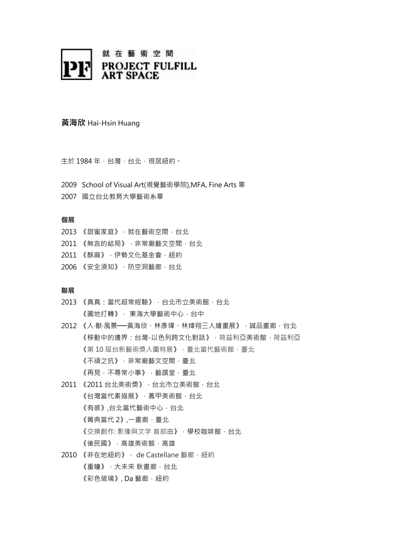

# 黃海欣 Hai-Hsin Huang

生於 1984年,台灣,台北,現居紐約。

- 2009 School of Visual Art(視覺藝術學院),MFA, Fine Arts 畢
- 2007 國立台北教育大學藝術系畢

### 個展

- 2013 《甜蜜家庭》, 就在藝術空間, 台北
- 2011 《無言的結局》,非常廟藝文空間,台北
- 2011 《酥麻》, 伊勢文化基金會, 紐約
- 2006 《安全須知》, 防空洞藝廊, 台北

### 聯展

- 2013 《真真:當代超常經驗》, 台北市立美術館, 台北 《圓地打轉》, 東海大學藝術中心,台中
- 2012 《人·獸·風景——黃海欣、林彥瑋、林煒翔三人繪畫展》, 誠品畫廊, 台北 《移動中的邊界:台灣-以色列跨文化對話》,荷茲利亞美術館,荷茲利亞 《第10屆台新藝術獎入圍特展》,臺北當代藝術館,臺北 《不頑之抗》,非常廟藝文空間,臺北 《再見,不尋常小事》,藝譔堂,臺北
- 2011 《2011 台北美術獎》, 台北市立美術館, 台北 《台灣當代素描展》,鳳甲美術館,台北 《有感》,台北當代藝術中心,台北 《菁典當代 2》,一畫廊,臺北 《交換創作: 影像與文字 首部曲》, 學校咖啡館, 台北 《後民國》,高雄美術館,高雄
- 2010 《非在地紐約》, de Castellane 藝廊, 紐約 《重瞳》,大未來 耿畫廊,台北 《彩色玻璃》, Da 藝廊, 紐約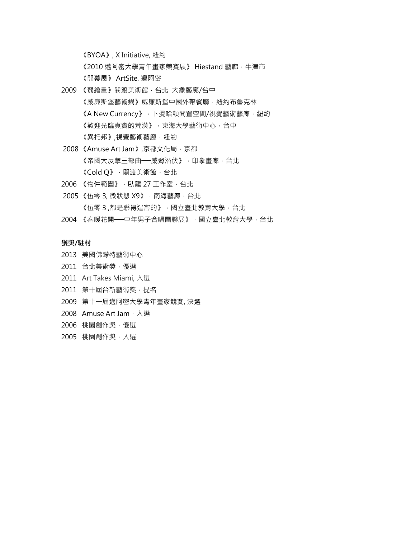《BYOA》, X Initiative, 紐約

《2010 邁阿密大學青年畫家競賽展》 Hiestand 藝廊, 牛津市

《開幕展》 ArtSite, 邁阿密

- 2009 《弱繪畫》關渡美術館, 台北 大象藝廊/台中 《威廉斯堡藝縣》威廉斯堡中國外帶餐廳,紐約布魯克林 《A New Currency》, 下曼哈頓閒置空間/視覺藝術藝廊, 紐約 《歡迎光臨真實的荒漠》,東海大學藝術中心,台中 《異托邦》,視覺藝術藝廊, 紐約
- 2008 《Amuse Art Jam》,京都文化局 · 京都 《帝國大反擊三部曲––威脅潛伏》,印象畫廊,台北 《Cold Q》, 關渡美術館, 台北
- 2006 《物件範圍》, 臥龍 27 工作室, 台北
- 2005 《伍零 3, 微狀態 X9》, 南海藝廊, 台北 《伍零3,都是聯得逞害的》,國立臺北教育大學,台北
- 2004 《春暖花開——中年男子合唱團聯展》, 國立臺北教育大學, 台北

### 獲獎/駐村

- 2013 美國佛矇特藝術中心
- 2011 台北美術獎,優選
- 2011 Art Takes Miami, 入選
- 2011 第十屆台新藝術獎,提名
- 2009 第十一屆邁阿密大學青年畫家競賽, 決選
- 2008 Amuse Art Jam, 入選
- 2006 桃園創作獎,優選
- 2005 桃園創作獎,入選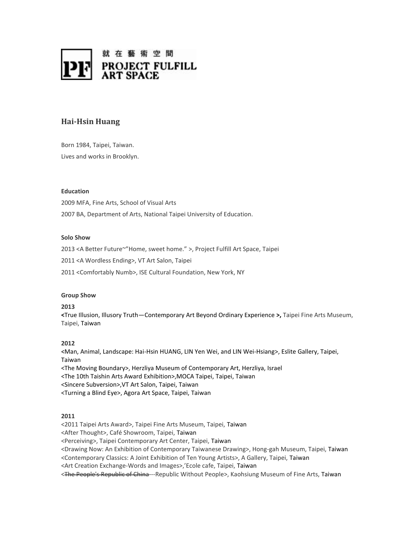

# **Hai-Hsin Huang**

Born 1984, Taipei, Taiwan. Lives and works in Brooklyn.

### **Education**

2009 MFA, Fine Arts, School of Visual Arts 2007 BA, Department of Arts, National Taipei University of Education.

### **Solo Show**

2013 <A Better Future~"Home, sweet home." >, Project Fulfill Art Space, Taipei

2011 <A Wordless Ending>, VT Art Salon, Taipei

2011 <Comfortably Numb>, ISE Cultural Foundation, New York, NY

#### **Group Show**

**2013**

**<**True Illusion, Illusory Truth—Contemporary Art Beyond Ordinary Experience **>,** Taipei Fine Arts Museum, Taipei, Taiwan

## **2012**

**<**Man, Animal, Landscape: Hai-Hsin HUANG, LIN Yen Wei, and LIN Wei-Hsiang>, Eslite Gallery, Taipei, Taiwan

<The Moving Boundary>, Herzliya Museum of Contemporary Art, Herzliya, Israel

<The 10th Taishin Arts Award Exhibition>,MOCA Taipei, Taipei, Taiwan

<Sincere Subversion>,VT Art Salon, Taipei, Taiwan

<Turning a Blind Eye>, Agora Art Space, Taipei, Taiwan

### **2011**

<2011 Taipei Arts Award>, Taipei Fine Arts Museum, Taipei, Taiwan

<After Thought>, Café Showroom, Taipei, Taiwan

<Perceiving>, Taipei Contemporary Art Center, Taipei, Taiwan

<Drawing Now: An Exhibition of Contemporary Taiwanese Drawing>, Hong-gah Museum, Taipei, Taiwan

<Contemporary Classics: A Joint Exhibition of Ten Young Artists>, A Gallery, Taipei, Taiwan

<Art Creation Exchange-Words and Images>,'Ecole cafe, Taipei, Taiwan

<The People's Republic of China---Republic Without People>, Kaohsiung Museum of Fine Arts, Taiwan